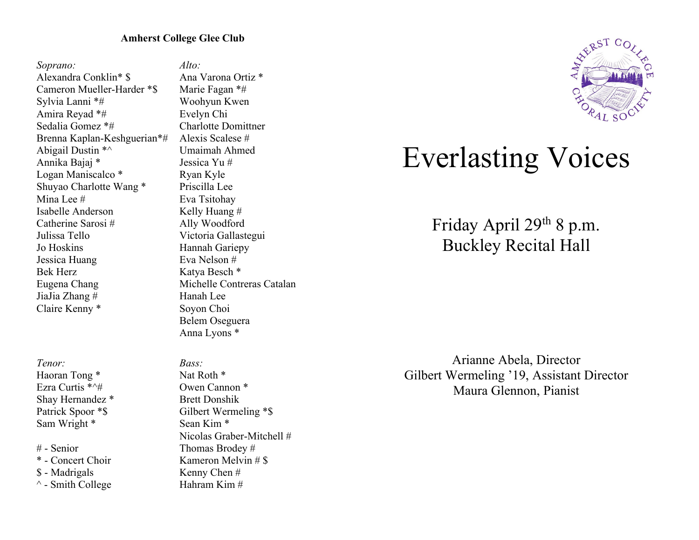# **Amherst College Glee Club**

*Soprano:* Alexandra Conklin\* \$ Cameron Mueller-Harder \*\$ Sylvia Lanni \*# Amira Reyad \*# Sedalia Gomez \*# Brenna Kaplan-Keshguerian\*# Abigail Dustin \*^ Annika Bajaj \* Logan Maniscalco \* Shuyao Charlotte Wang \* Mina Lee # Isabelle Anderson Catherine Sarosi # Julissa Tello Jo Hoskins Jessica Huang Bek Herz Eugena Chang JiaJia Zhang # Claire Kenny \*

*Tenor:*

Haoran Tong \* Ezra Curtis \*^# Shay Hernandez \* Patrick Spoor \*\$ Sam Wright \*

# - Senior \* - Concert Choir \$ - Madrigals  $\wedge$  - Smith College

*Alto:* Ana Varona Ortiz \* Marie Fagan \*# Woohyun Kwen Evelyn Chi Charlotte Domittner Alexis Scalese # Umaimah Ahmed Jessica Yu # Ryan Kyle Priscilla Lee Eva Tsitohay Kelly Huang # Ally Woodford Victoria Gallastegui Hannah Gariepy Eva Nelson # Katya Besch \* Michelle Contreras Catalan Hanah Lee Soyon Choi Belem Oseguera Anna Lyons \*

*Bass:* Nat Roth \* Owen Cannon \* Brett Donshik Gilbert Wermeling \*\$ Sean Kim \* Nicolas Graber-Mitchell # Thomas Brodey # Kameron Melvin # \$ Kenny Chen # Hahram Kim #



# Everlasting Voices

Friday April 29th 8 p.m. Buckley Recital Hall

Arianne Abela, Director Gilbert Wermeling '19, Assistant Director Maura Glennon, Pianist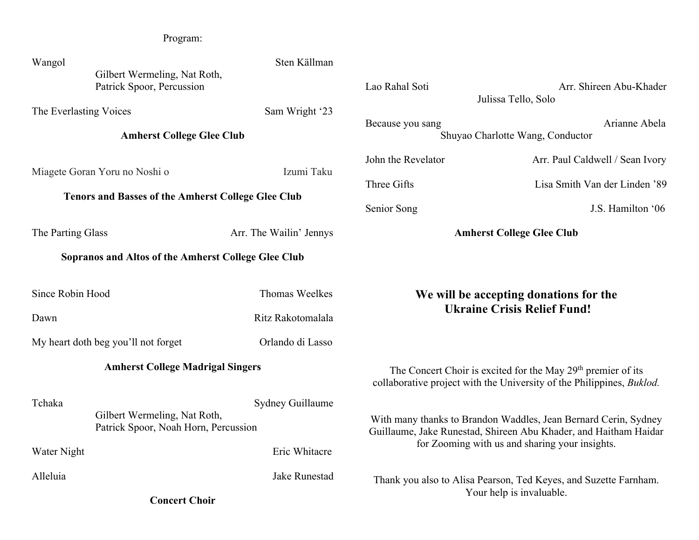| Program:                                                                                                   |                                                                      |                                                         |                                                                                                                                                                                       |                                                                                              |
|------------------------------------------------------------------------------------------------------------|----------------------------------------------------------------------|---------------------------------------------------------|---------------------------------------------------------------------------------------------------------------------------------------------------------------------------------------|----------------------------------------------------------------------------------------------|
| Wangol<br>Gilbert Wermeling, Nat Roth,<br>Patrick Spoor, Percussion                                        |                                                                      | Sten Källman                                            | Lao Rahal Soti                                                                                                                                                                        | Arr. Shireen Abu-Khader<br>Julissa Tello, Solo                                               |
| The Everlasting Voices<br>Sam Wright '23<br><b>Amherst College Glee Club</b>                               |                                                                      |                                                         | Arianne Abela<br>Because you sang<br>Shuyao Charlotte Wang, Conductor                                                                                                                 |                                                                                              |
| Miagete Goran Yoru no Noshi o<br><b>Tenors and Basses of the Amherst College Glee Club</b>                 |                                                                      | Izumi Taku                                              | John the Revelator<br>Three Gifts<br>Senior Song                                                                                                                                      | Arr. Paul Caldwell / Sean Ivory<br>Lisa Smith Van der Linden '89<br>J.S. Hamilton '06        |
| The Parting Glass<br>Arr. The Wailin' Jennys<br><b>Sopranos and Altos of the Amherst College Glee Club</b> |                                                                      |                                                         |                                                                                                                                                                                       | <b>Amherst College Glee Club</b>                                                             |
| Since Robin Hood<br>Dawn<br>My heart doth beg you'll not forget                                            |                                                                      | Thomas Weelkes<br>Ritz Rakotomalala<br>Orlando di Lasso | We will be accepting donations for the<br><b>Ukraine Crisis Relief Fund!</b>                                                                                                          |                                                                                              |
| <b>Amherst College Madrigal Singers</b>                                                                    |                                                                      |                                                         | The Concert Choir is excited for the May 29 <sup>th</sup> premier of its<br>collaborative project with the University of the Philippines, <i>Buklod</i> .                             |                                                                                              |
| Tchaka<br>Water Night                                                                                      | Gilbert Wermeling, Nat Roth,<br>Patrick Spoor, Noah Horn, Percussion | Sydney Guillaume<br>Eric Whitacre                       | With many thanks to Brandon Waddles, Jean Bernard Cerin, Sydney<br>Guillaume, Jake Runestad, Shireen Abu Khader, and Haitham Haidar<br>for Zooming with us and sharing your insights. |                                                                                              |
| Alleluia<br><b>Concert Choir</b>                                                                           |                                                                      | Jake Runestad                                           |                                                                                                                                                                                       | Thank you also to Alisa Pearson, Ted Keyes, and Suzette Farnham.<br>Your help is invaluable. |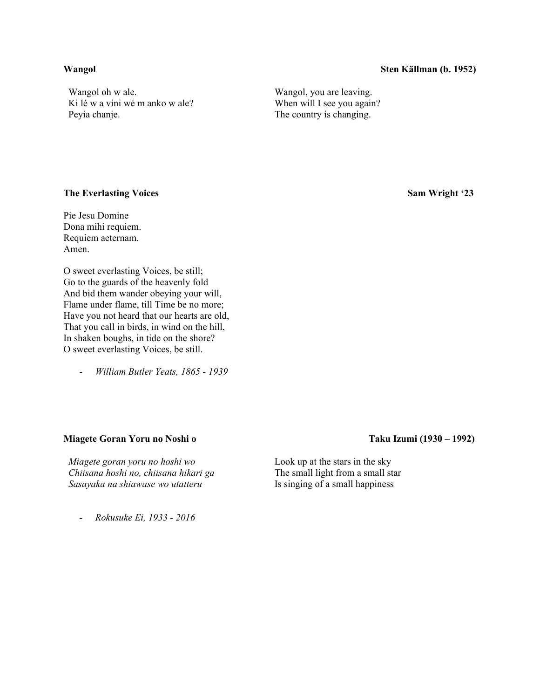### **Wangol Sten Källman (b. 1952)**

Wangol oh w ale. Ki lé w a vini wé m anko w ale? Peyia chanje.

Wangol, you are leaving. When will I see you again? The country is changing.

### **The Everlasting Voices** Sam Wright '23

Pie Jesu Domine Dona mihi requiem. Requiem aeternam. Amen.

O sweet everlasting Voices, be still; Go to the guards of the heavenly fold And bid them wander obeying your will, Flame under flame, till Time be no more; Have you not heard that our hearts are old, That you call in birds, in wind on the hill, In shaken boughs, in tide on the shore? O sweet everlasting Voices, be still.

- *William Butler Yeats, 1865 - 1939*

### **Miagete Goran Yoru no Noshi o Taku Izumi (1930 – 1992)**

*Miagete goran yoru no hoshi wo Chiisana hoshi no, chiisana hikari ga Sasayaka na shiawase wo utatteru*

- *Rokusuke Ei, 1933 - 2016*

Look up at the stars in the sky The small light from a small star Is singing of a small happiness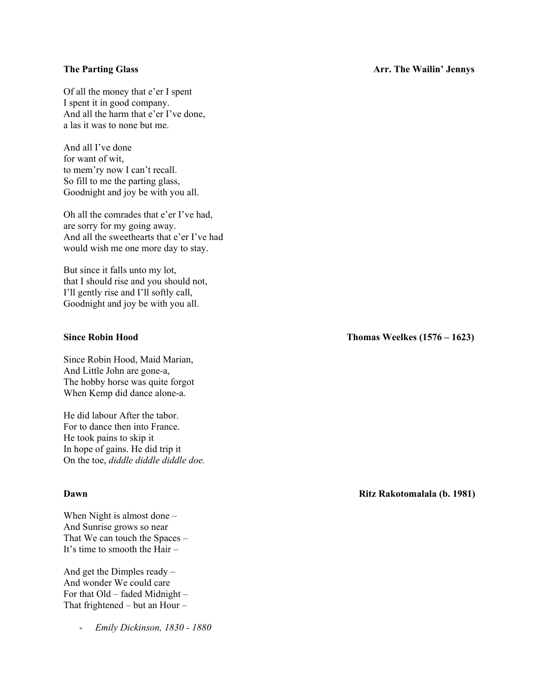Of all the money that e'er I spent I spent it in good company. And all the harm that e'er I've done, a las it was to none but me.

And all I've done for want of wit, to mem'ry now I can't recall. So fill to me the parting glass, Goodnight and joy be with you all.

Oh all the comrades that e'er I've had, are sorry for my going away. And all the sweethearts that e'er I've had would wish me one more day to stay.

But since it falls unto my lot, that I should rise and you should not, I'll gently rise and I'll softly call, Goodnight and joy be with you all.

Since Robin Hood, Maid Marian, And Little John are gone-a, The hobby horse was quite forgot When Kemp did dance alone-a.

He did labour After the tabor. For to dance then into France. He took pains to skip it In hope of gains. He did trip it On the toe, *diddle diddle diddle doe.*

When Night is almost done – And Sunrise grows so near That We can touch the Spaces – It's time to smooth the Hair –

And get the Dimples ready – And wonder We could care For that Old – faded Midnight – That frightened – but an Hour –

- *Emily Dickinson, 1830 - 1880*

# **The Parting Glass Arr. The Wailin' Jennys** Arr. The Wailin' Jennys

**Since Robin Hood Thomas Weelkes (1576 – 1623)**

**Dawn Ritz Rakotomalala (b. 1981)**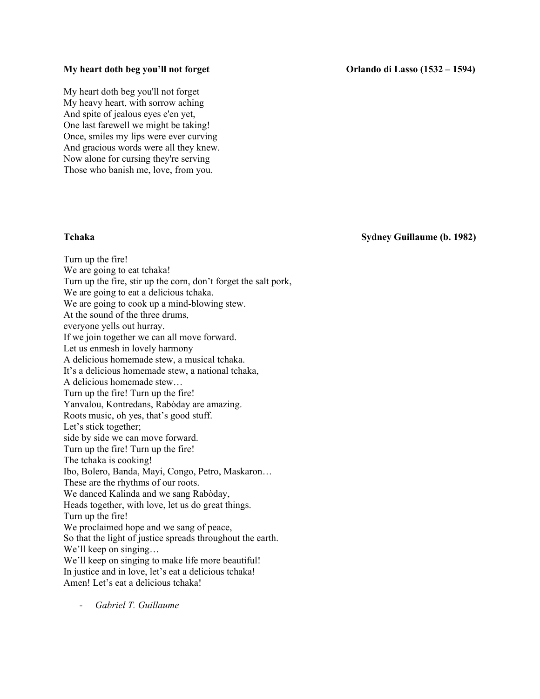### **My heart doth beg you'll not forget Community Community Community Community Community Community Community Community Community Community Community Community Community Community Community Community Community Community Commu**

My heart doth beg you'll not forget My heavy heart, with sorrow aching And spite of jealous eyes e'en yet, One last farewell we might be taking! Once, smiles my lips were ever curving And gracious words were all they knew. Now alone for cursing they're serving Those who banish me, love, from you.

**Tchaka Sydney Guillaume (b. 1982)**

Turn up the fire! We are going to eat tchaka! Turn up the fire, stir up the corn, don't forget the salt pork, We are going to eat a delicious tchaka. We are going to cook up a mind-blowing stew. At the sound of the three drums, everyone yells out hurray. If we join together we can all move forward. Let us enmesh in lovely harmony A delicious homemade stew, a musical tchaka. It's a delicious homemade stew, a national tchaka, A delicious homemade stew… Turn up the fire! Turn up the fire! Yanvalou, Kontredans, Rabòday are amazing. Roots music, oh yes, that's good stuff. Let's stick together; side by side we can move forward. Turn up the fire! Turn up the fire! The tchaka is cooking! Ibo, Bolero, Banda, Mayi, Congo, Petro, Maskaron… These are the rhythms of our roots. We danced Kalinda and we sang Rabòday, Heads together, with love, let us do great things. Turn up the fire! We proclaimed hope and we sang of peace, So that the light of justice spreads throughout the earth. We'll keep on singing... We'll keep on singing to make life more beautiful! In justice and in love, let's eat a delicious tchaka! Amen! Let's eat a delicious tchaka!

- *Gabriel T. Guillaume*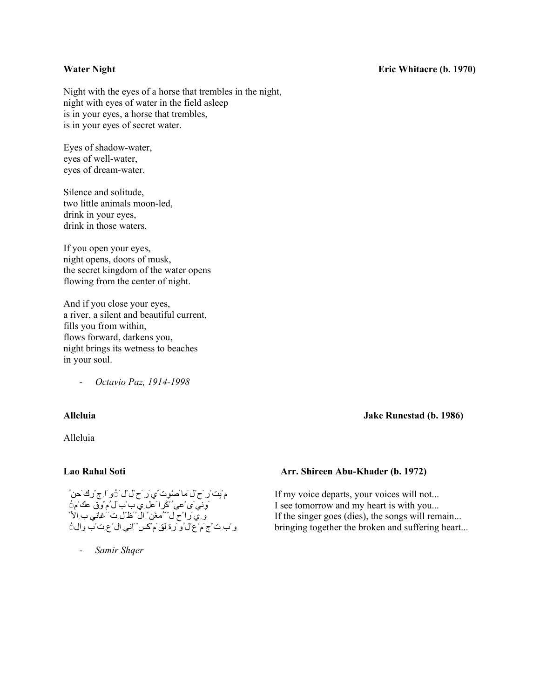### **Water Night Eric Whitacre (b. 1970)**

Night with the eyes of a horse that trembles in the night, night with eyes of water in the field asleep is in your eyes, a horse that trembles, is in your eyes of secret water.

Eyes of shadow-water, eyes of well-water, eyes of dream-water.

Silence and solitude, two little animals moon-led, drink in your eyes, drink in those waters.

If you open your eyes, night opens, doors of musk, the secret kingdom of the water opens flowing from the center of night.

And if you close your eyes, a river, a silent and beautiful current, fills you from within, flows forward, darkens you, night brings its wetness to beaches in your soul.

- *Octavio Paz, 1914-1998*

### **Alleluia Jake Runestad (b. 1986)**

Alleluia

مْ بِتْ رْ حَ ْلْ َما َصْوِتْ مِي َر َح ْلْ ْلْ َ ْوِ َاحِ ْرِكْ َحِنْ <sub>۔</sub> پ ِ ِ ِ ۖ ں ِ ِ ِ َ نِ کَ ِکِ بِ ِ بِ ِ سَ مِ دِن َ َ عَبَ<br>وَ ِي َ را ْ ح ل ِ ''مُعَن ِ ال ْ َظ ّل ِت َ غاني ب ِالأ ْ ِو ْبِ ِت ْجَ مْ عْ ْلْ و رَ ةِ لْقَ مْ كَسْ ْ َاِنِي ِالْ ْ عِ ِتْ بِ والْ ُ

- *Samir Shqer*

# **Lao Rahal Soti Arr. Shireen Abu-Khader (b. 1972)**

If my voice departs, your voices will not... I see tomorrow and my heart is with you... If the singer goes (dies), the songs will remain... bringing together the broken and suffering heart...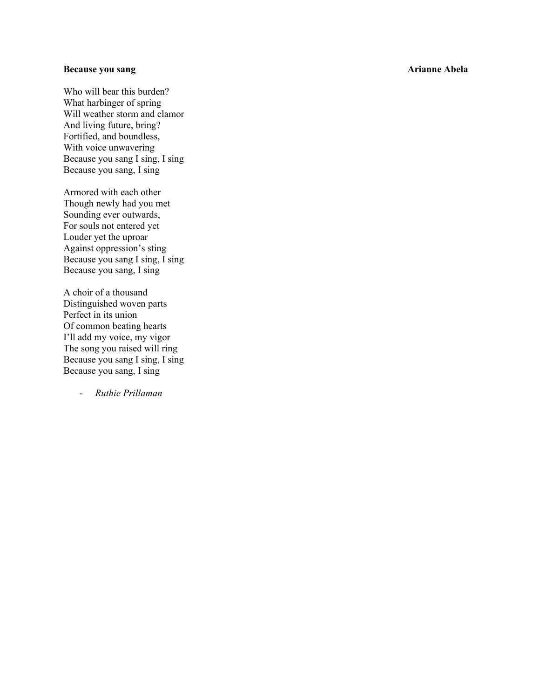# **Because you sang Arianne Abela**

Who will bear this burden? What harbinger of spring Will weather storm and clamor And living future, bring? Fortified, and boundless, With voice unwavering Because you sang I sing, I sing Because you sang, I sing

Armored with each other Though newly had you met Sounding ever outwards, For souls not entered yet Louder yet the uproar Against oppression's sting Because you sang I sing, I sing Because you sang, I sing

A choir of a thousand Distinguished woven parts Perfect in its union Of common beating hearts I'll add my voice, my vigor The song you raised will ring Because you sang I sing, I sing Because you sang, I sing

- *Ruthie Prillaman*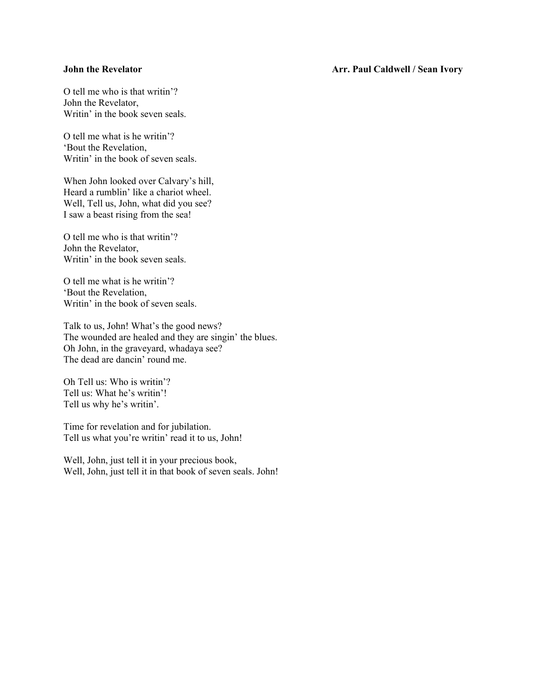### **John the Revelator Community Community Community Community Arr. Paul Caldwell / Sean Ivory**

O tell me who is that writin'? John the Revelator, Writin' in the book seven seals.

O tell me what is he writin'? 'Bout the Revelation, Writin' in the book of seven seals.

When John looked over Calvary's hill, Heard a rumblin' like a chariot wheel. Well, Tell us, John, what did you see? I saw a beast rising from the sea!

O tell me who is that writin'? John the Revelator, Writin' in the book seven seals.

O tell me what is he writin'? 'Bout the Revelation, Writin' in the book of seven seals.

Talk to us, John! What's the good news? The wounded are healed and they are singin' the blues. Oh John, in the graveyard, whadaya see? The dead are dancin' round me.

Oh Tell us: Who is writin'? Tell us: What he's writin'! Tell us why he's writin'.

Time for revelation and for jubilation. Tell us what you're writin' read it to us, John!

Well, John, just tell it in your precious book, Well, John, just tell it in that book of seven seals. John!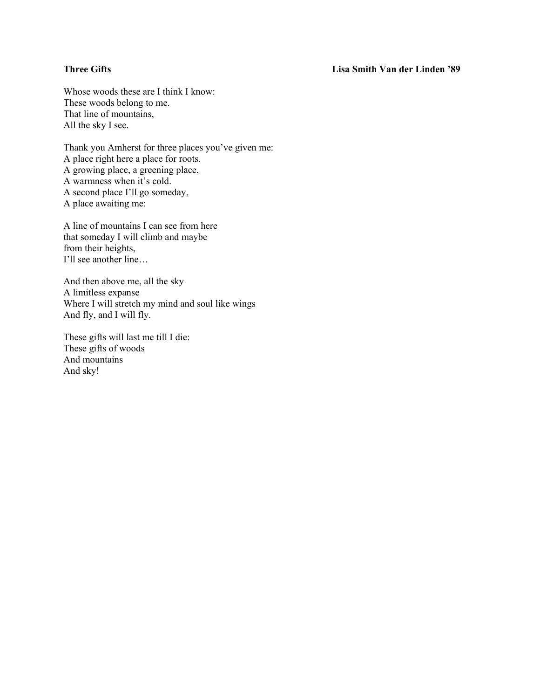## **Three Gifts Lisa Smith Van der Linden '89**

Whose woods these are I think I know: These woods belong to me. That line of mountains, All the sky I see.

Thank you Amherst for three places you've given me: A place right here a place for roots. A growing place, a greening place, A warmness when it's cold. A second place I'll go someday, A place awaiting me:

A line of mountains I can see from here that someday I will climb and maybe from their heights, I'll see another line…

And then above me, all the sky A limitless expanse Where I will stretch my mind and soul like wings And fly, and I will fly.

These gifts will last me till I die: These gifts of woods And mountains And sky!